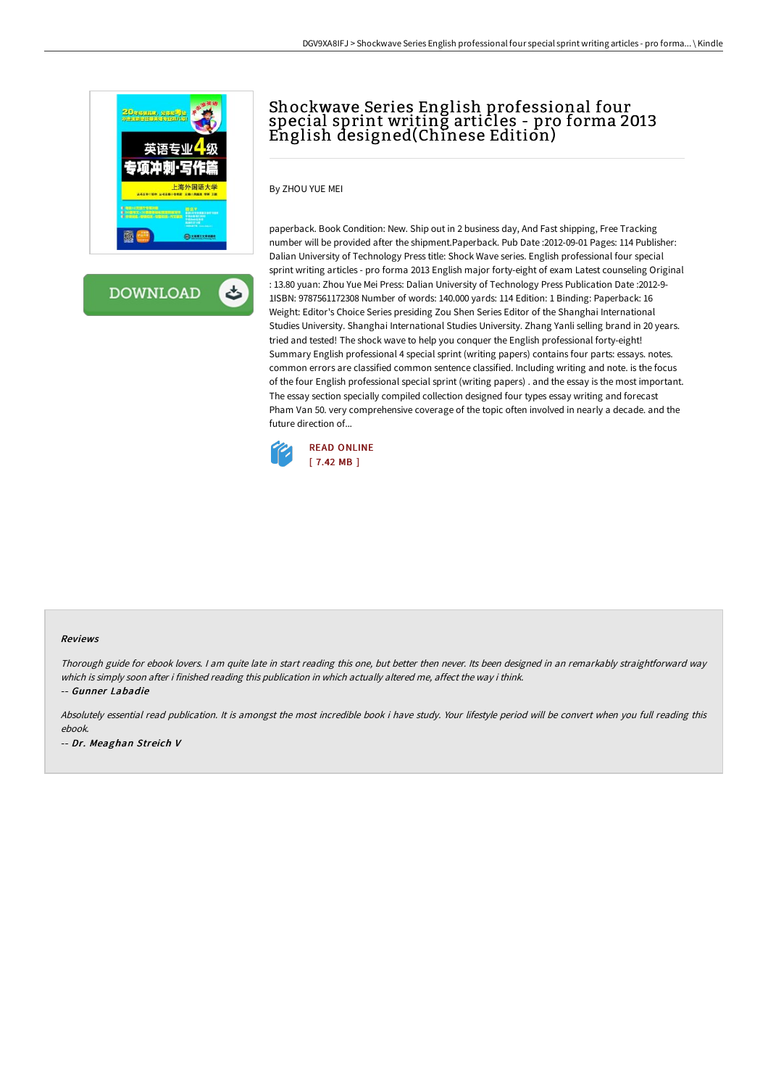

忐 **DOWNLOAD** 

## Shockwave Series English professional four special sprint writing articles - pro forma 2013 English designed(Chinese Edition)

By ZHOU YUE MEI

paperback. Book Condition: New. Ship out in 2 business day, And Fast shipping, Free Tracking number will be provided after the shipment.Paperback. Pub Date :2012-09-01 Pages: 114 Publisher: Dalian University of Technology Press title: Shock Wave series. English professional four special sprint writing articles - pro forma 2013 English major forty-eight of exam Latest counseling Original : 13.80 yuan: Zhou Yue Mei Press: Dalian University of Technology Press Publication Date :2012-9- 1ISBN: 9787561172308 Number of words: 140.000 yards: 114 Edition: 1 Binding: Paperback: 16 Weight: Editor's Choice Series presiding Zou Shen Series Editor of the Shanghai International Studies University. Shanghai International Studies University. Zhang Yanli selling brand in 20 years. tried and tested! The shock wave to help you conquer the English professional forty-eight! Summary English professional 4 special sprint (writing papers) contains four parts: essays. notes. common errors are classified common sentence classified. Including writing and note. is the focus of the four English professional special sprint (writing papers) . and the essay is the most important. The essay section specially compiled collection designed four types essay writing and forecast Pham Van 50. very comprehensive coverage of the topic often involved in nearly a decade. and the future direction of...



## Reviews

Thorough guide for ebook lovers. <sup>I</sup> am quite late in start reading this one, but better then never. Its been designed in an remarkably straightforward way which is simply soon after i finished reading this publication in which actually altered me, affect the way i think.

-- Gunner Labadie

Absolutely essential read publication. It is amongst the most incredible book i have study. Your lifestyle period will be convert when you full reading this ebook.

-- Dr. Meaghan Streich V